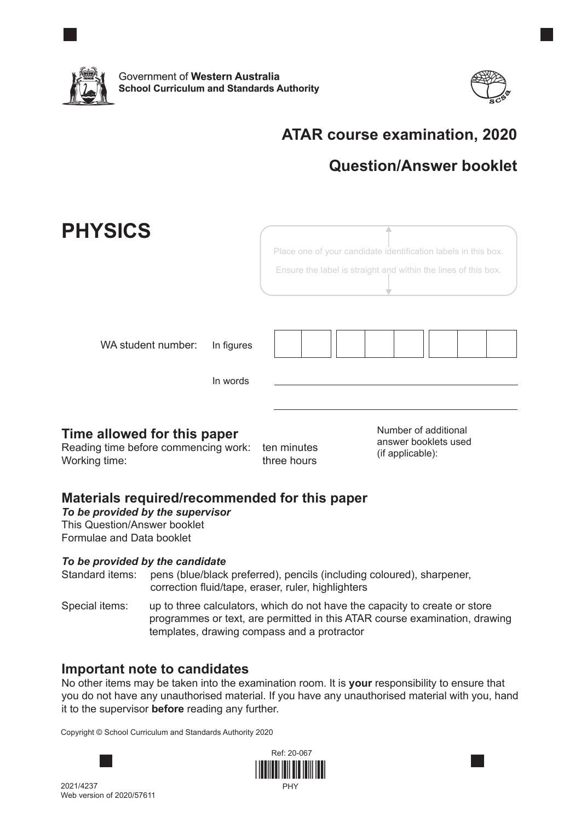



# **ATAR course examination, 2020**

# **Question/Answer booklet**

| Time allowed for this paper<br>Reading time before commencing work:<br>Working time: |            | ten minutes<br>three hours | Number of additional<br>answer booklets used<br>(if applicable):                                                                 |  |
|--------------------------------------------------------------------------------------|------------|----------------------------|----------------------------------------------------------------------------------------------------------------------------------|--|
|                                                                                      | In words   |                            |                                                                                                                                  |  |
| WA student number:                                                                   | In figures |                            |                                                                                                                                  |  |
| <b>PHYSICS</b>                                                                       |            |                            | Place one of your candidate identification labels in this box.<br>Ensure the label is straight and within the lines of this box. |  |

#### *To be provided by the supervisor* This Question/Answer booklet

Formulae and Data booklet

#### *To be provided by the candidate*

- Standard items: pens (blue/black preferred), pencils (including coloured), sharpener, correction fluid/tape, eraser, ruler, highlighters
- Special items: up to three calculators, which do not have the capacity to create or store programmes or text, are permitted in this ATAR course examination, drawing templates, drawing compass and a protractor

### **Important note to candidates**

No other items may be taken into the examination room. It is **your** responsibility to ensure that you do not have any unauthorised material. If you have any unauthorised material with you, hand it to the supervisor **before** reading any further.

Copyright © School Curriculum and Standards Authority 2020

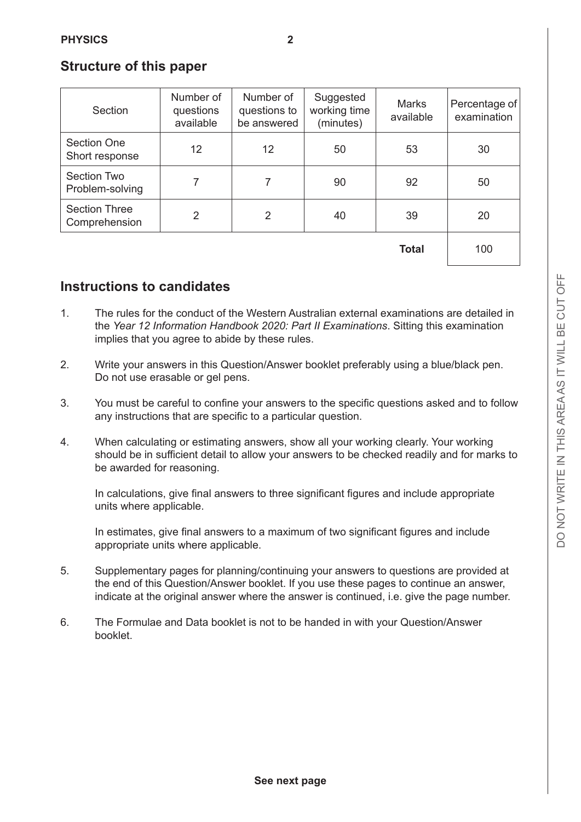## **Structure of this paper**

| Section                               | Number of<br>questions<br>available | Number of<br>questions to<br>be answered | Suggested<br>working time<br>(minutes) | Marks<br>available | Percentage of<br>examination |
|---------------------------------------|-------------------------------------|------------------------------------------|----------------------------------------|--------------------|------------------------------|
| <b>Section One</b><br>Short response  | 12                                  | 12                                       | 50                                     | 53                 | 30                           |
| <b>Section Two</b><br>Problem-solving | 7                                   |                                          | 90                                     | 92                 | 50                           |
| <b>Section Three</b><br>Comprehension | 2                                   | 2                                        | 40                                     | 39                 | 20                           |
|                                       |                                     |                                          |                                        |                    |                              |

**Total** 100

## **Instructions to candidates**

- 1. The rules for the conduct of the Western Australian external examinations are detailed in the *Year 12 Information Handbook 2020: Part II Examinations*. Sitting this examination implies that you agree to abide by these rules.
- 2. Write your answers in this Question/Answer booklet preferably using a blue/black pen. Do not use erasable or gel pens.
- 3. You must be careful to confine your answers to the specific questions asked and to follow any instructions that are specific to a particular question.
- 4. When calculating or estimating answers, show all your working clearly. Your working should be in sufficient detail to allow your answers to be checked readily and for marks to be awarded for reasoning.

 In calculations, give final answers to three significant figures and include appropriate units where applicable.

 In estimates, give final answers to a maximum of two significant figures and include appropriate units where applicable.

- 5. Supplementary pages for planning/continuing your answers to questions are provided at the end of this Question/Answer booklet. If you use these pages to continue an answer, indicate at the original answer where the answer is continued, i.e. give the page number.
- 6. The Formulae and Data booklet is not to be handed in with your Question/Answer booklet.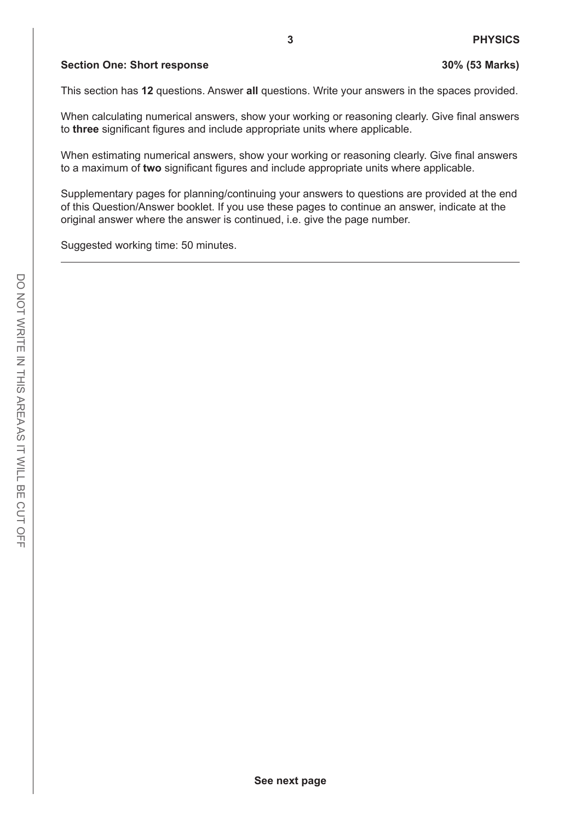#### **Section One: Short response 30% (53 Marks)**

This section has **12** questions. Answer **all** questions. Write your answers in the spaces provided.

When calculating numerical answers, show your working or reasoning clearly. Give final answers to **three** significant figures and include appropriate units where applicable.

When estimating numerical answers, show your working or reasoning clearly. Give final answers to a maximum of **two** significant figures and include appropriate units where applicable.

Supplementary pages for planning/continuing your answers to questions are provided at the end of this Question/Answer booklet. If you use these pages to continue an answer, indicate at the original answer where the answer is continued, i.e. give the page number.

Suggested working time: 50 minutes.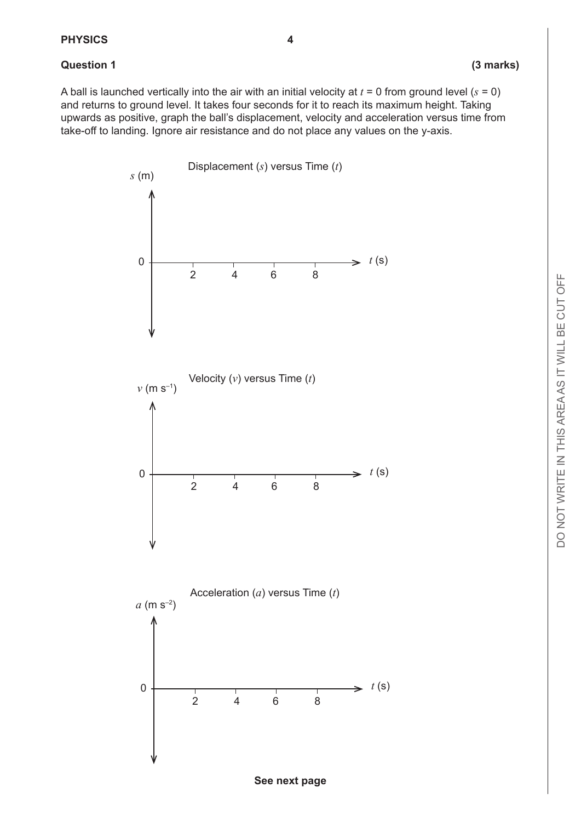#### **Question 1 (3 marks)**

A ball is launched vertically into the air with an initial velocity at *t* = 0 from ground level (*s* = 0) and returns to ground level. It takes four seconds for it to reach its maximum height. Taking upwards as positive, graph the ball's displacement, velocity and acceleration versus time from take-off to landing. Ignore air resistance and do not place any values on the y-axis.



**See next page**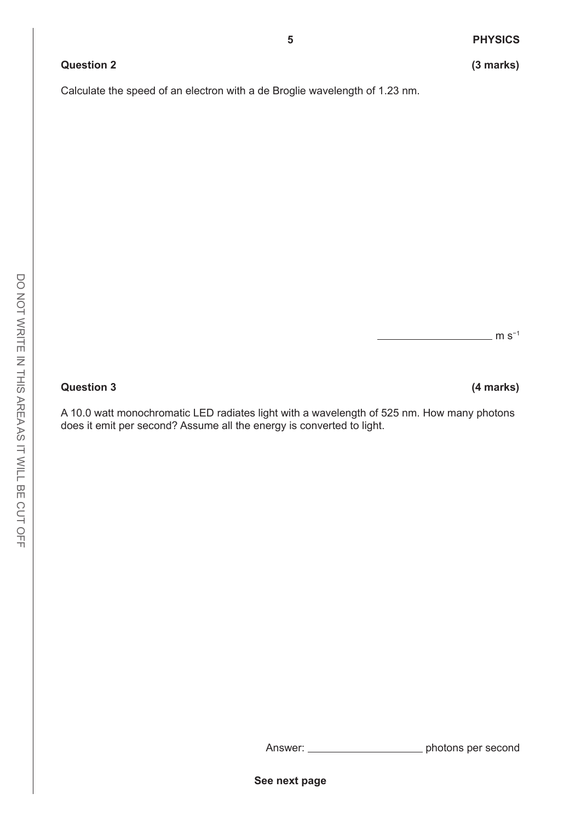#### **Question 2 (3 marks)**

Calculate the speed of an electron with a de Broglie wavelength of 1.23 nm.

 $-$  m s<sup>−1</sup>

#### **Question 3 (4 marks)**

A 10.0 watt monochromatic LED radiates light with a wavelength of 525 nm. How many photons does it emit per second? Assume all the energy is converted to light.

**See next page**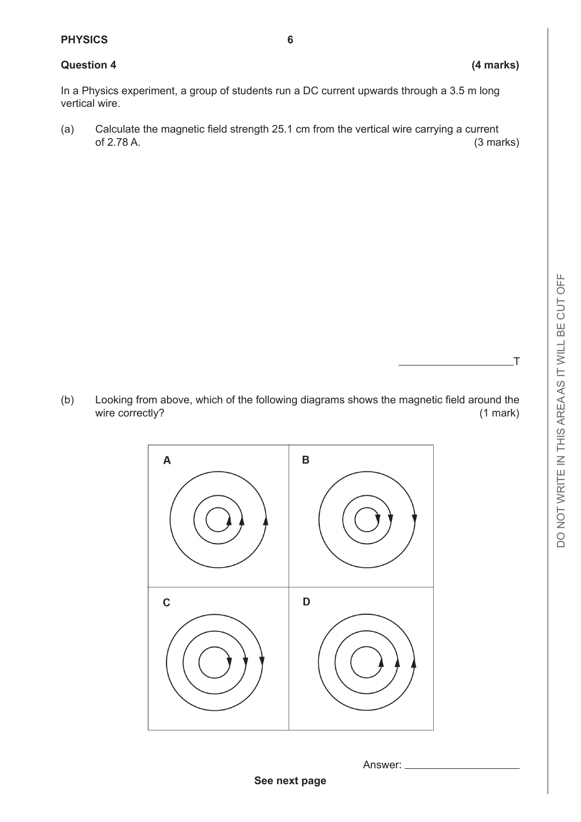#### **Question 4 (4 marks)**

In a Physics experiment, a group of students run a DC current upwards through a 3.5 m long vertical wire.

(a) Calculate the magnetic field strength 25.1 cm from the vertical wire carrying a current of 2.78 A. (3 marks)

T

(b) Looking from above, which of the following diagrams shows the magnetic field around the wire correctly? (1) wire correctly?



#### Answer: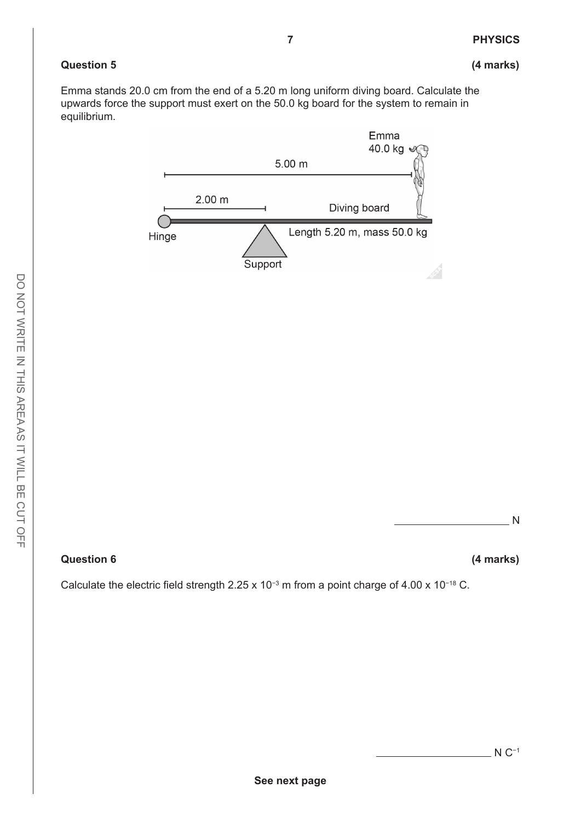#### **Question 5 (4 marks)**

Emma stands 20.0 cm from the end of a 5.20 m long uniform diving board. Calculate the upwards force the support must exert on the 50.0 kg board for the system to remain in equilibrium.



# N

### **Question 6 (4 marks)**

Calculate the electric field strength 2.25 x 10<sup>-3</sup> m from a point charge of 4.00 x 10<sup>-18</sup> C.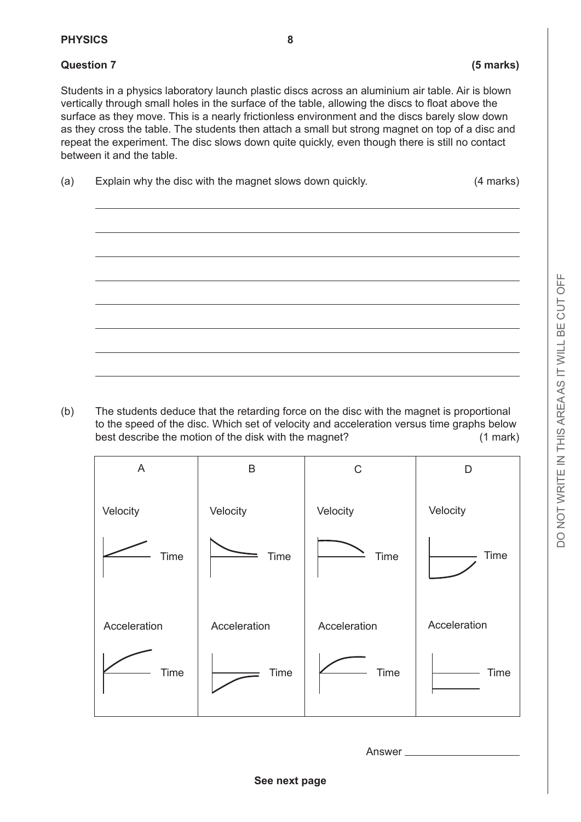### **Question 7 (5 marks)**

Students in a physics laboratory launch plastic discs across an aluminium air table. Air is blown vertically through small holes in the surface of the table, allowing the discs to float above the surface as they move. This is a nearly frictionless environment and the discs barely slow down as they cross the table. The students then attach a small but strong magnet on top of a disc and repeat the experiment. The disc slows down quite quickly, even though there is still no contact between it and the table.

| (a) | Explain why the disc with the magnet slows down quickly. | $(4$ marks) |
|-----|----------------------------------------------------------|-------------|
|     |                                                          |             |
|     |                                                          |             |

(b) The students deduce that the retarding force on the disc with the magnet is proportional to the speed of the disc. Which set of velocity and acceleration versus time graphs below best describe the motion of the disk with the magnet? (1 mark)



Answer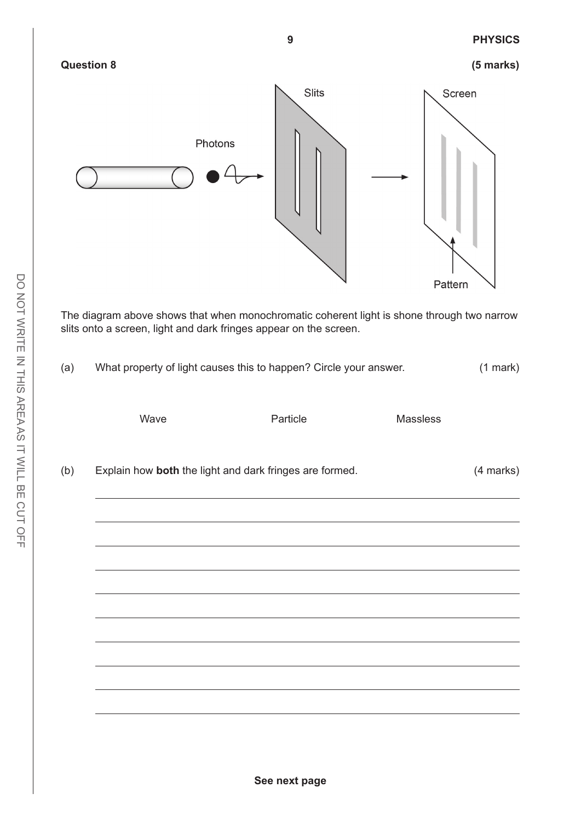

The diagram above shows that when monochromatic coherent light is shone through two narrow slits onto a screen, light and dark fringes appear on the screen.

(a) What property of light causes this to happen? Circle your answer. (1 mark) Wave **Particle Massless** 

(b) Explain how **both** the light and dark fringes are formed. (4 marks)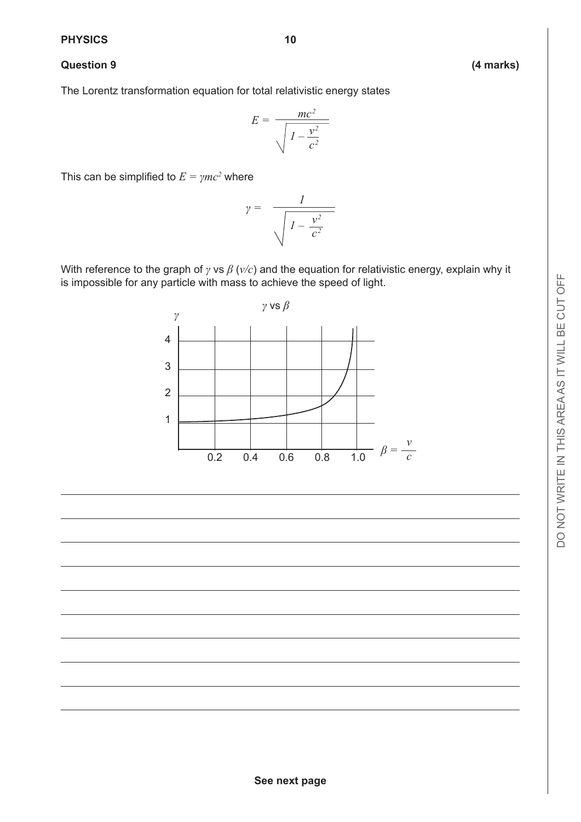#### **PHYSICS 10**

#### **Question 9 (4 marks)**

The Lorentz transformation equation for total relativistic energy states

$$
E = \frac{mc^2}{\sqrt{1 - \frac{v^2}{c^2}}}
$$

This can be simplified to  $E = \gamma mc^2$  where

$$
\gamma = \frac{1}{\sqrt{1 - \frac{v^2}{c^2}}}
$$

With reference to the graph of *γ* vs *β* (*v/c*) and the equation for relativistic energy, explain why it is impossible for any particle with mass to achieve the speed of light.

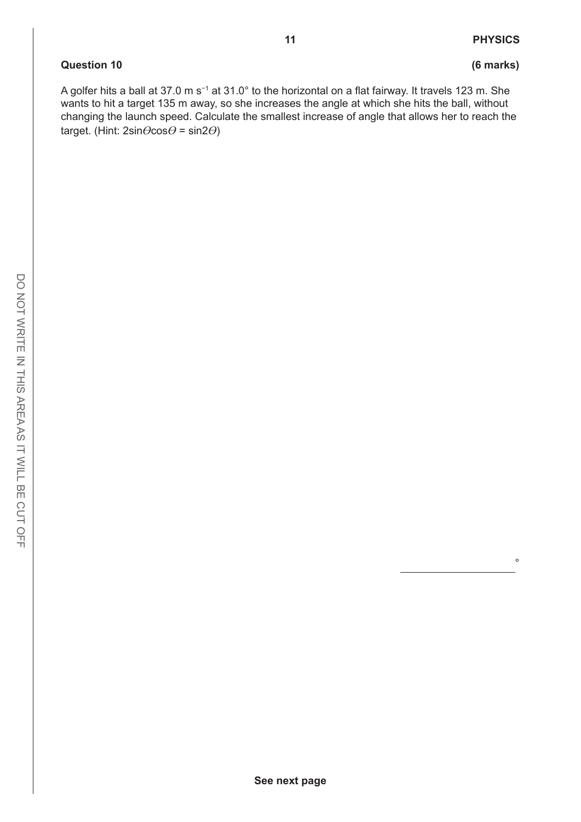#### **Question 10 (6 marks)**

A golfer hits a ball at 37.0 m s−1 at 31.0° to the horizontal on a flat fairway. It travels 123 m. She wants to hit a target 135 m away, so she increases the angle at which she hits the ball, without changing the launch speed. Calculate the smallest increase of angle that allows her to reach the target. (Hint: 2sin*Ө*cos*Ө* = sin2*Ө*)

о советски принципални постојат се се советски подржава се советски подржава се советски подржава се советски <br>Одговари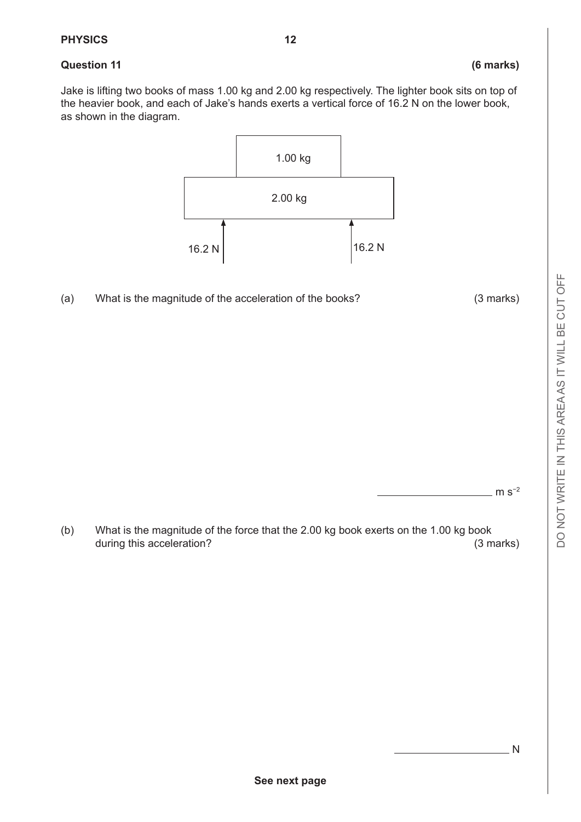#### **Question 11 (6 marks)**

Jake is lifting two books of mass 1.00 kg and 2.00 kg respectively. The lighter book sits on top of the heavier book, and each of Jake's hands exerts a vertical force of 16.2 N on the lower book, as shown in the diagram.



(a) What is the magnitude of the acceleration of the books? (3 marks)

m  $s^{-2}$ 

(b) What is the magnitude of the force that the 2.00 kg book exerts on the 1.00 kg book during this acceleration? (3 marks)

N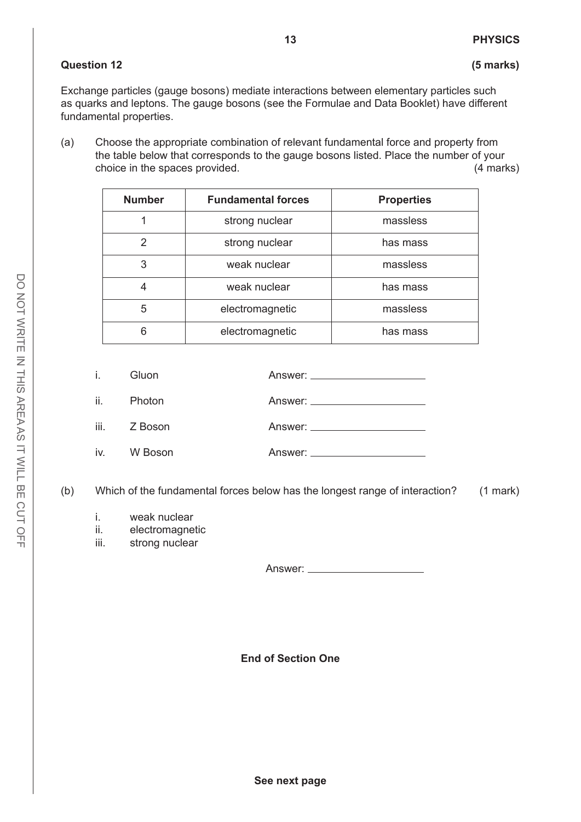#### **Question 12 (5 marks)**

Exchange particles (gauge bosons) mediate interactions between elementary particles such as quarks and leptons. The gauge bosons (see the Formulae and Data Booklet) have different fundamental properties.

(a) Choose the appropriate combination of relevant fundamental force and property from the table below that corresponds to the gauge bosons listed. Place the number of your choice in the spaces provided. (4 marks)

| <b>Number</b> | <b>Fundamental forces</b> | <b>Properties</b> |
|---------------|---------------------------|-------------------|
|               | strong nuclear            | massless          |
| 2             | strong nuclear            | has mass          |
| 3             | weak nuclear              | massless          |
|               | weak nuclear              | has mass          |
| 5             | electromagnetic           | massless          |
|               | electromagnetic           | has mass          |

| $\mathbf{i}$ , $\mathbf{j}$ | Gluon        | Answer: _________________________                                                                                                                                                                                              |
|-----------------------------|--------------|--------------------------------------------------------------------------------------------------------------------------------------------------------------------------------------------------------------------------------|
|                             | ii. Photon   | Answer:                                                                                                                                                                                                                        |
|                             | iii. Z Boson | Answer: Answer and Answer and Answer and Answer and Answer and Answer and Answer and Answer and Answer and Answer and Answer and Answer and Answer and Answer and Answer and Answer and Answer and Answer and Answer and Answe |
|                             | iv. W Boson  | Answer: ___________________________                                                                                                                                                                                            |

(b) Which of the fundamental forces below has the longest range of interaction? (1 mark)

- i. weak nuclear
- ii. electromagnetic
- iii. strong nuclear

Answer: \_\_\_\_\_\_\_\_\_\_\_

**End of Section One**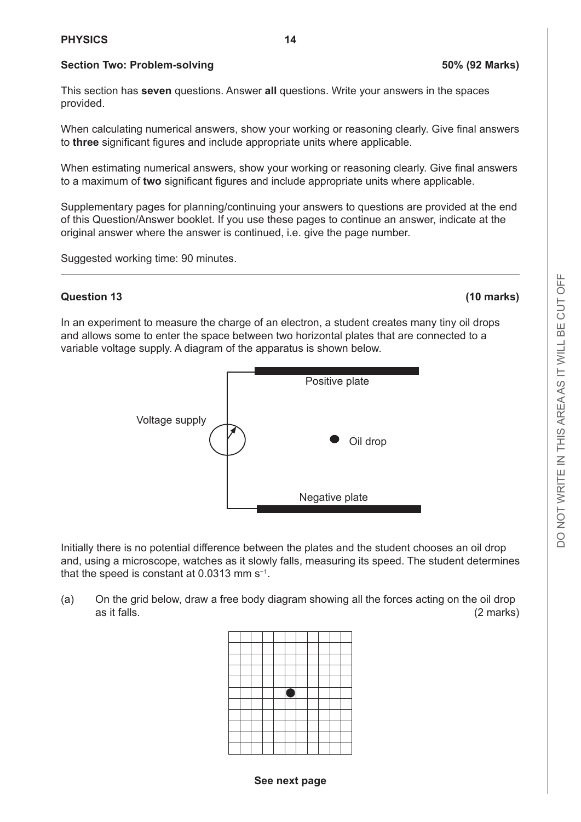#### **Section Two: Problem-solving 50% (92 Marks)**

This section has **seven** questions. Answer **all** questions. Write your answers in the spaces provided.

When calculating numerical answers, show your working or reasoning clearly. Give final answers to **three** significant figures and include appropriate units where applicable.

When estimating numerical answers, show your working or reasoning clearly. Give final answers to a maximum of **two** significant figures and include appropriate units where applicable.

Supplementary pages for planning/continuing your answers to questions are provided at the end of this Question/Answer booklet. If you use these pages to continue an answer, indicate at the original answer where the answer is continued, i.e. give the page number.

Suggested working time: 90 minutes.

### **Question 13 (10 marks)**

In an experiment to measure the charge of an electron, a student creates many tiny oil drops and allows some to enter the space between two horizontal plates that are connected to a variable voltage supply. A diagram of the apparatus is shown below.



Initially there is no potential difference between the plates and the student chooses an oil drop and, using a microscope, watches as it slowly falls, measuring its speed. The student determines that the speed is constant at  $0.0313$  mm s<sup>-1</sup>.

(a) On the grid below, draw a free body diagram showing all the forces acting on the oil drop as it falls. (2 marks)

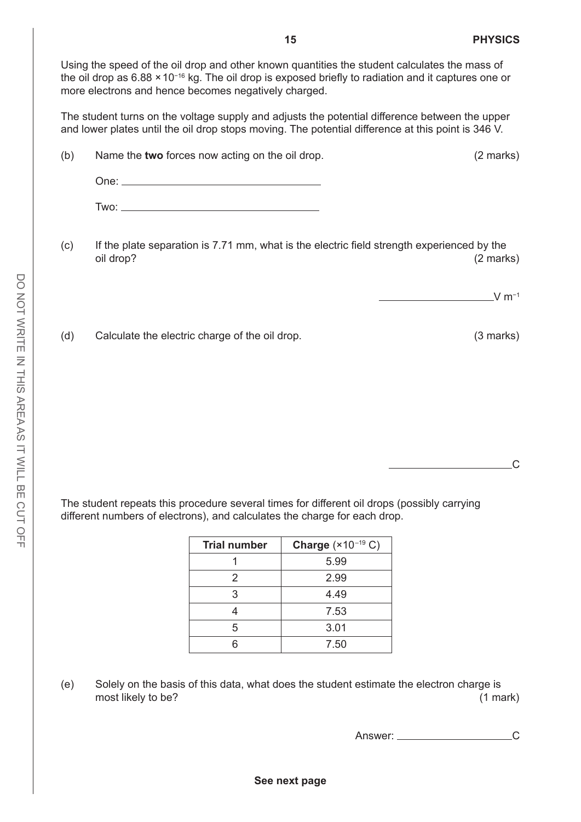Using the speed of the oil drop and other known quantities the student calculates the mass of the oil drop as 6.88 ×10−16 kg. The oil drop is exposed briefly to radiation and it captures one or more electrons and hence becomes negatively charged.

The student turns on the voltage supply and adjusts the potential difference between the upper and lower plates until the oil drop stops moving. The potential difference at this point is 346 V.

| (b) | Name the two forces now acting on the oil drop.                                                         | $(2 \text{ marks})$ |
|-----|---------------------------------------------------------------------------------------------------------|---------------------|
|     |                                                                                                         |                     |
|     |                                                                                                         |                     |
| (c) | If the plate separation is 7.71 mm, what is the electric field strength experienced by the<br>oil drop? | $(2 \text{ marks})$ |
|     |                                                                                                         | $V~m^{-1}$          |

(d) Calculate the electric charge of the oil drop. (3 marks)

 $\overline{C}$ 

The student repeats this procedure several times for different oil drops (possibly carrying different numbers of electrons), and calculates the charge for each drop.

| <b>Trial number</b> | Charge $(x10^{-19} C)$ |
|---------------------|------------------------|
|                     | 5.99                   |
| 2                   | 2.99                   |
| 3                   | 4.49                   |
|                     | 7.53                   |
| 5                   | 3.01                   |
|                     | 7.50                   |

(e) Solely on the basis of this data, what does the student estimate the electron charge is most likely to be? (1 mark)

Answer: C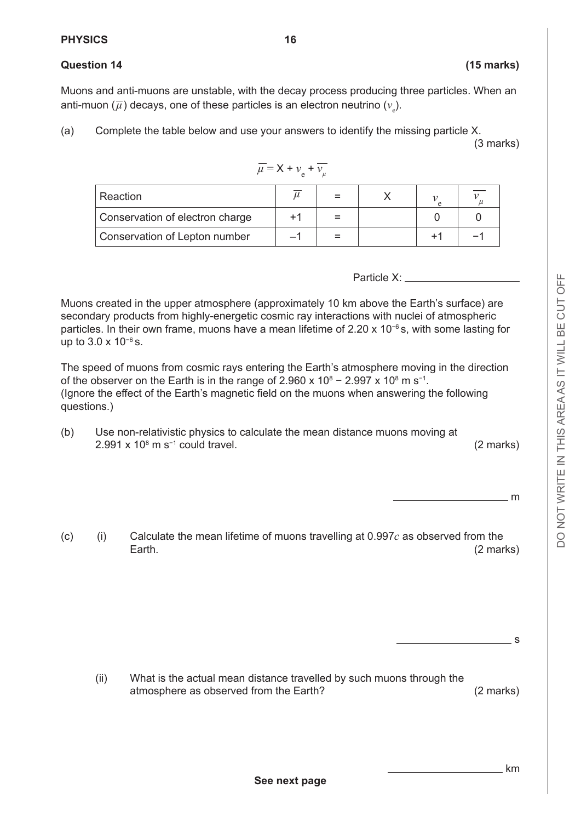#### **Question 14 (15 marks)**

Muons and anti-muons are unstable, with the decay process producing three particles. When an anti-muon  $(\overline{\mu})$  decays, one of these particles is an electron neutrino  $({v_{\scriptscriptstyle\rm c}})$ .

(a) Complete the table below and use your answers to identify the missing particle X.

(3 marks)

| Reaction                        |  |  |  |
|---------------------------------|--|--|--|
| Conservation of electron charge |  |  |  |
| Conservation of Lepton number   |  |  |  |

 $\overline{\mu} = X + v_{e} + \overline{v_{\mu}}$ 

| e X: |  |
|------|--|
|      |  |

Muons created in the upper atmosphere (approximately 10 km above the Earth's surface) are secondary products from highly-energetic cosmic ray interactions with nuclei of atmospheric particles. In their own frame, muons have a mean lifetime of 2.20 x 10<sup>-6</sup> s, with some lasting for up to 3.0 x 10−6 s.

The speed of muons from cosmic rays entering the Earth's atmosphere moving in the direction of the observer on the Earth is in the range of 2.960 x 10 $^{\circ}$  − 2.997 x 10 $^{\circ}$  m s $^{-1}$ . (Ignore the effect of the Earth's magnetic field on the muons when answering the following questions.)

(b) Use non-relativistic physics to calculate the mean distance muons moving at  $2.991 \times 10^8$  m s<sup>−1</sup> could travel.  $(2 \text{ marks})$ 

m

(c) (i) Calculate the mean lifetime of muons travelling at 0.997*c* as observed from the Earth. (2 marks)

s

(ii) What is the actual mean distance travelled by such muons through the atmosphere as observed from the Earth? (2 marks)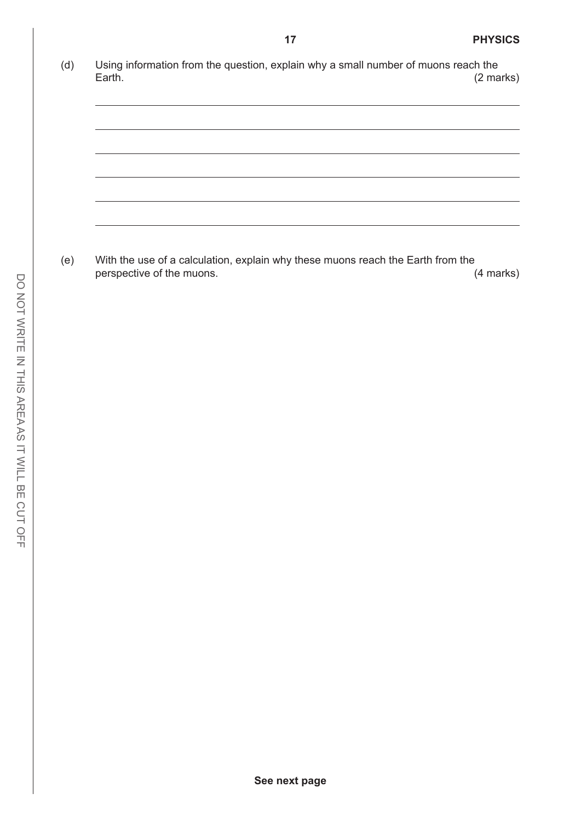(d) Using information from the question, explain why a small number of muons reach the<br>Earth. (2 ma (2 marks)

(e) With the use of a calculation, explain why these muons reach the Earth from the perspective of the muons.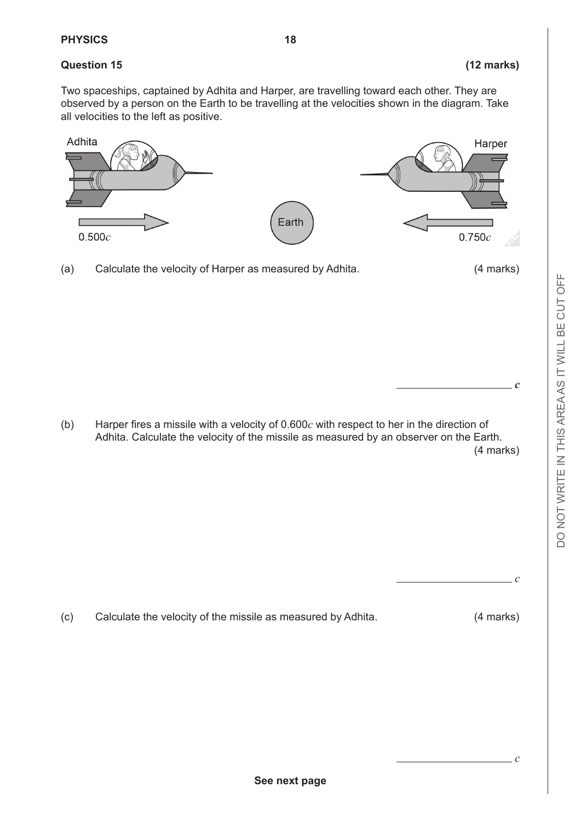### **Question 15 (12 marks)**

Two spaceships, captained by Adhita and Harper, are travelling toward each other. They are observed by a person on the Earth to be travelling at the velocities shown in the diagram. Take all velocities to the left as positive.





(c) Calculate the velocity of the missile as measured by Adhita. (4 marks)

*c*

*c*

*c*

<sup>(</sup>b) Harper fires a missile with a velocity of 0.600*c* with respect to her in the direction of Adhita. Calculate the velocity of the missile as measured by an observer on the Earth. (4 marks)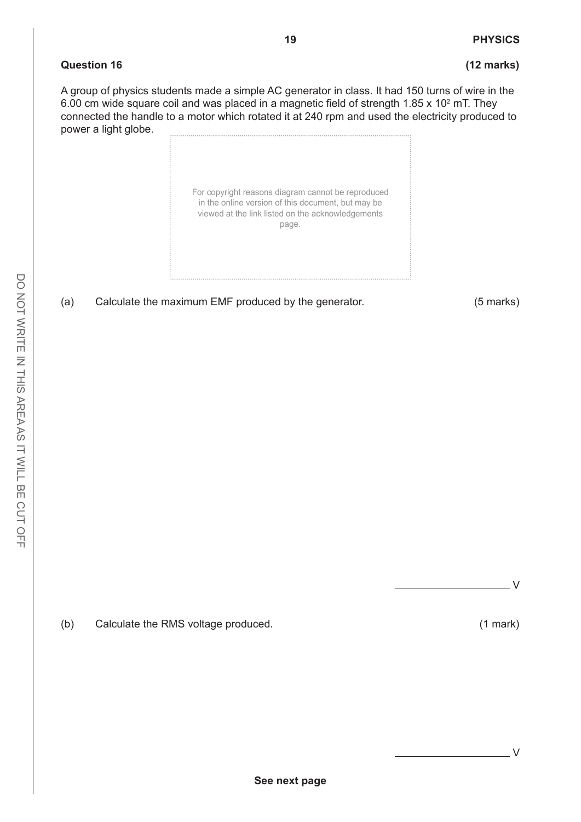#### **Question 16 (12 marks)**

A group of physics students made a simple AC generator in class. It had 150 turns of wire in the 6.00 cm wide square coil and was placed in a magnetic field of strength 1.85 x 10 $^{\rm 2}$  mT. They connected the handle to a motor which rotated it at 240 rpm and used the electricity produced to power a light globe. 

> For copyright reasons diagram cannot be reproduced in the online version of this document, but may be viewed at the link listed on the acknowledgements page.

(a) Calculate the maximum EMF produced by the generator. (5 marks)

(b) Calculate the RMS voltage produced. (1 mark)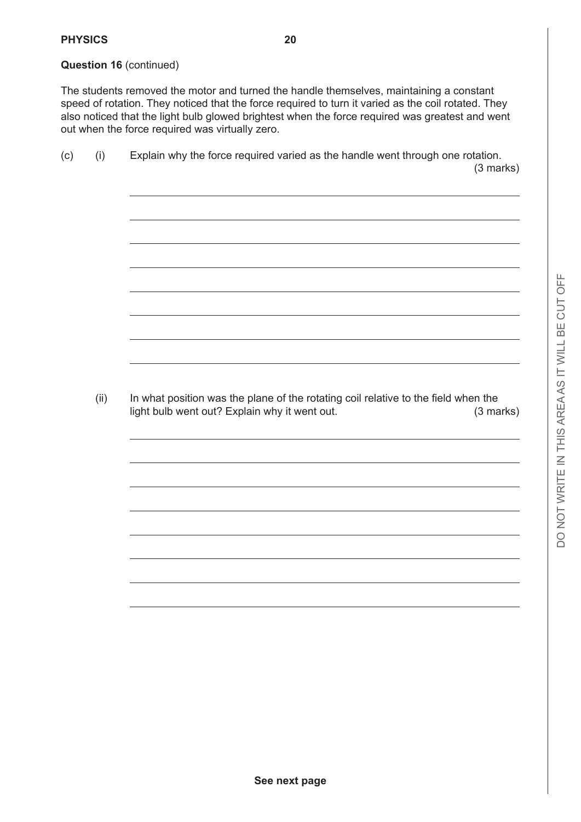### **Question 16** (continued)

The students removed the motor and turned the handle themselves, maintaining a constant speed of rotation. They noticed that the force required to turn it varied as the coil rotated. They also noticed that the light bulb glowed brightest when the force required was greatest and went out when the force required was virtually zero.

| (c) | (i)  | Explain why the force required varied as the handle went through one rotation.<br>(3 marks)                                                      |
|-----|------|--------------------------------------------------------------------------------------------------------------------------------------------------|
|     |      |                                                                                                                                                  |
|     |      |                                                                                                                                                  |
|     |      | <u> 1989 - Andrea Santa Andrea Andrea Andrea Andrea Andrea Andrea Andrea Andrea Andrea Andrea Andrea Andrea Andr</u>                             |
|     |      | ,我们也不会有什么。""我们的人,我们也不会有什么?""我们的人,我们也不会有什么?""我们的人,我们也不会有什么?""我们的人,我们也不会有什么?""我们的人                                                                 |
|     |      |                                                                                                                                                  |
|     |      |                                                                                                                                                  |
|     | (ii) | In what position was the plane of the rotating coil relative to the field when the<br>light bulb went out? Explain why it went out.<br>(3 marks) |
|     |      |                                                                                                                                                  |
|     |      |                                                                                                                                                  |
|     |      |                                                                                                                                                  |
|     |      |                                                                                                                                                  |
|     |      |                                                                                                                                                  |
|     |      |                                                                                                                                                  |
|     |      |                                                                                                                                                  |
|     |      |                                                                                                                                                  |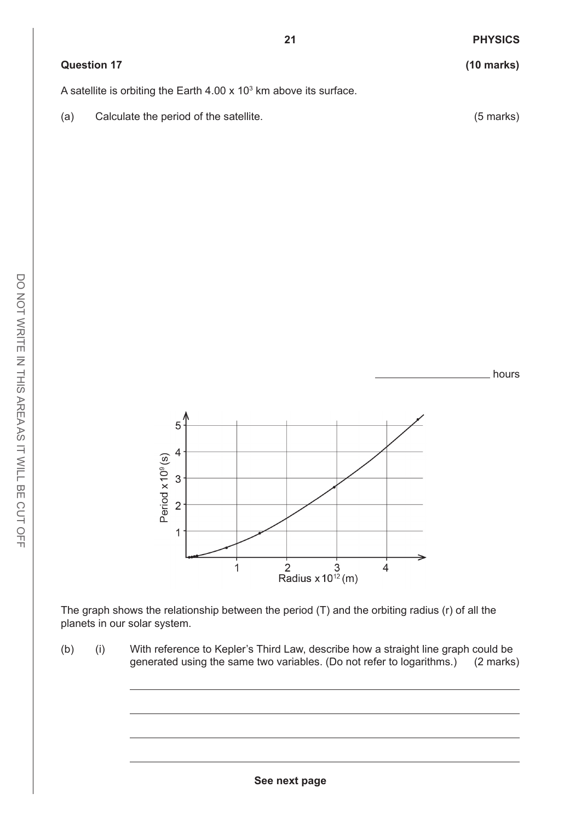**21 PHYSICS** 

hours

(a) Calculate the period of the satellite. (5 marks)



The graph shows the relationship between the period (T) and the orbiting radius (r) of all the planets in our solar system.

(b) (i) With reference to Kepler's Third Law, describe how a straight line graph could be generated using the same two variables. (Do not refer to logarithms.) (2 marks)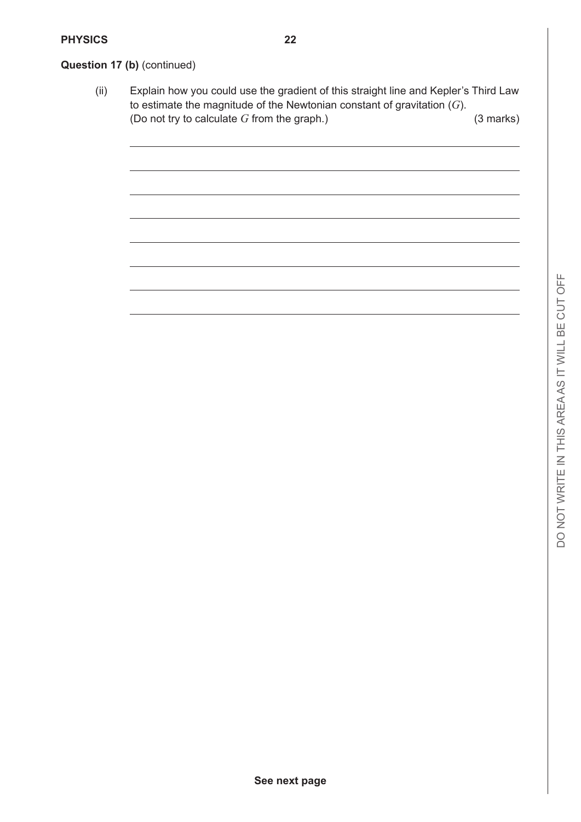### **Question 17 (b)** (continued)

(ii) Explain how you could use the gradient of this straight line and Kepler's Third Law to estimate the magnitude of the Newtonian constant of gravitation (*G*). (Do not try to calculate *G* from the graph.) (3 marks)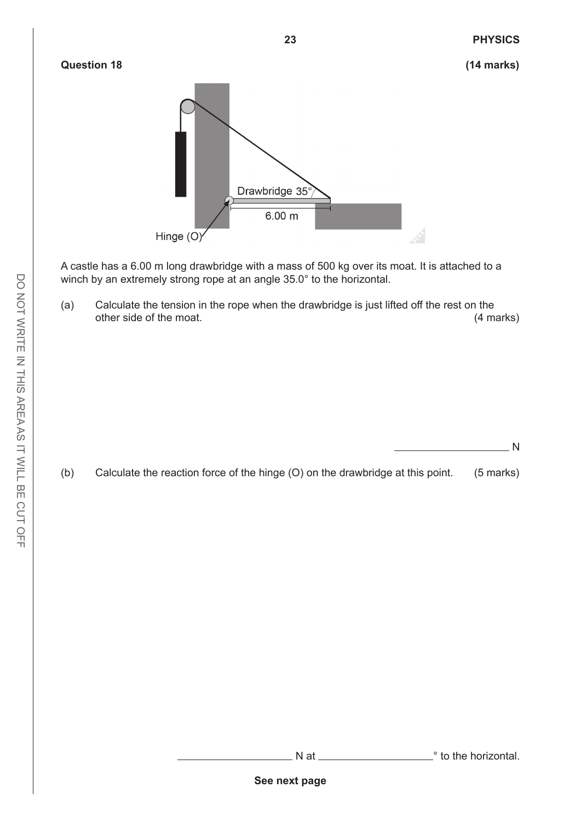### **Question 18 (14 marks)**



A castle has a 6.00 m long drawbridge with a mass of 500 kg over its moat. It is attached to a winch by an extremely strong rope at an angle 35.0° to the horizontal.

(a) Calculate the tension in the rope when the drawbridge is just lifted off the rest on the other side of the moat. (4 marks)

 N (b) Calculate the reaction force of the hinge (O) on the drawbridge at this point. (5 marks)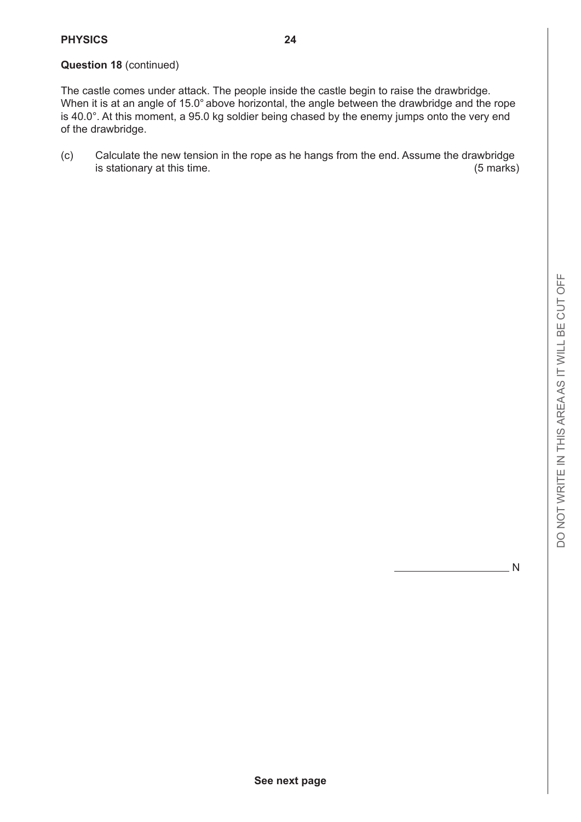### **Question 18** (continued)

The castle comes under attack. The people inside the castle begin to raise the drawbridge. When it is at an angle of 15.0° above horizontal, the angle between the drawbridge and the rope is 40.0°. At this moment, a 95.0 kg soldier being chased by the enemy jumps onto the very end of the drawbridge.

(c) Calculate the new tension in the rope as he hangs from the end. Assume the drawbridge is stationary at this time. (5 marks)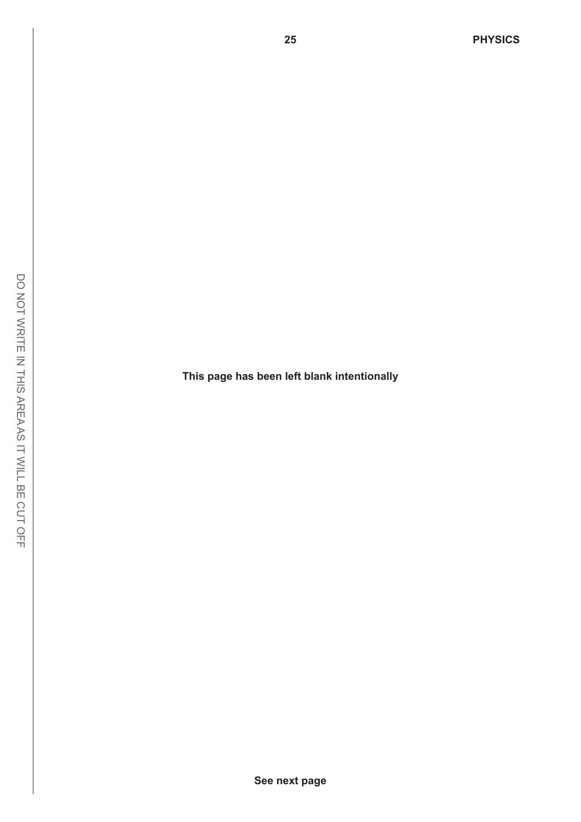**This page has been left blank intentionally**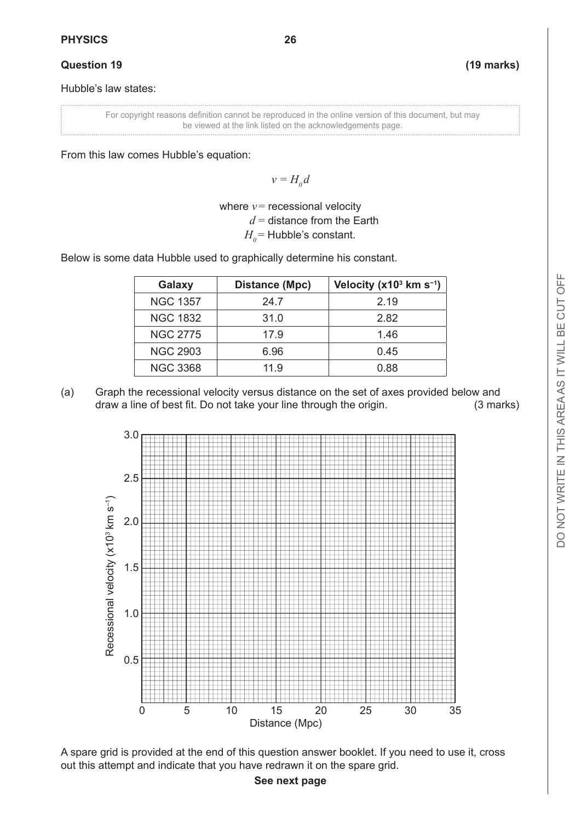### **Question 19 (19 marks)**

Hubble's law states:

For copyright reasons definition cannot be reproduced in the online version of this document, but may be viewed at the link listed on the acknowledgements page.

From this law comes Hubble's equation:

 $v = H_0 d$ 

### where  $v$  = recessional velocity  $d =$  distance from the Earth  $H<sub>o</sub>$  = Hubble's constant.

Below is some data Hubble used to graphically determine his constant.

| Galaxy          | Distance (Mpc) | Velocity ( $x103$ km s <sup>-1</sup> ) |
|-----------------|----------------|----------------------------------------|
| <b>NGC 1357</b> | 24.7           | 2.19                                   |
| <b>NGC 1832</b> | 31.0           | 2.82                                   |
| <b>NGC 2775</b> | 17.9           | 1.46                                   |
| <b>NGC 2903</b> | 6.96           | 0.45                                   |
| <b>NGC 3368</b> | 11.9           | 0.88                                   |

(a) Graph the recessional velocity versus distance on the set of axes provided below and draw a line of best fit. Do not take your line through the origin. (3 marks)



A spare grid is provided at the end of this question answer booklet. If you need to use it, cross out this attempt and indicate that you have redrawn it on the spare grid.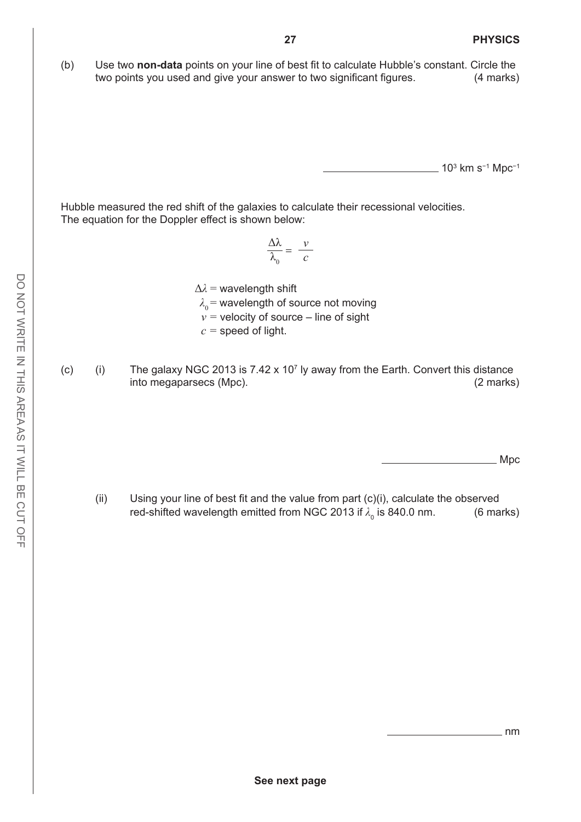(b) Use two **non-data** points on your line of best fit to calculate Hubble's constant. Circle the two points you used and give your answer to two significant figures. (4 marks)

. 10<sup>3</sup> km s<sup>−1</sup> Mpc<sup>−1</sup>

Hubble measured the red shift of the galaxies to calculate their recessional velocities. The equation for the Doppler effect is shown below:

$$
\frac{\Delta\lambda}{\lambda_0} = \frac{\nu}{c}
$$

 $\Delta\lambda$  = wavelength shift

- $\lambda_0$  = wavelength of source not moving
- $v =$  velocity of source line of sight
- $c =$  speed of light.
- (c) (i) The galaxy NGC 2013 is 7.42 x 10<sup>7</sup> ly away from the Earth. Convert this distance into megaparsecs (Mpc). (2 marks)

Mpc

(ii) Using your line of best fit and the value from part (c)(i), calculate the observed red-shifted wavelength emitted from NGC 2013 if  $\lambda_0$  is 840.0 nm. (6 marks)

 $\_$ nm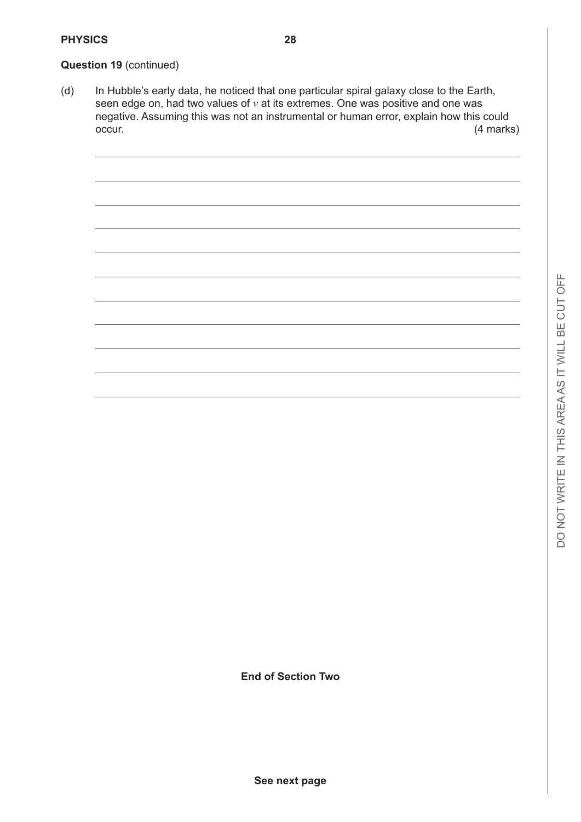#### **Question 19** (continued)

(d) In Hubble's early data, he noticed that one particular spiral galaxy close to the Earth, seen edge on, had two values of *v* at its extremes. One was positive and one was negative. Assuming this was not an instrumental or human error, explain how this could occur. (4 marks)

**End of Section Two**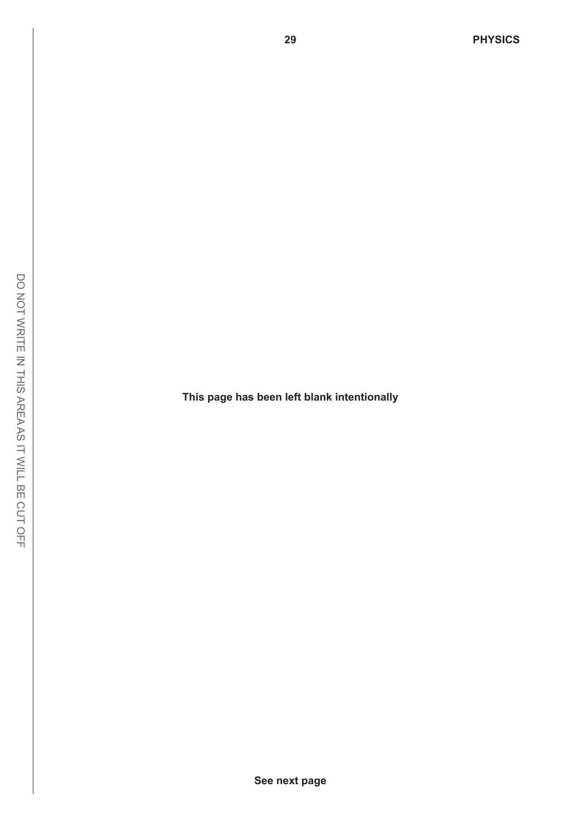**29 PHYSICS** 

**This page has been left blank intentionally**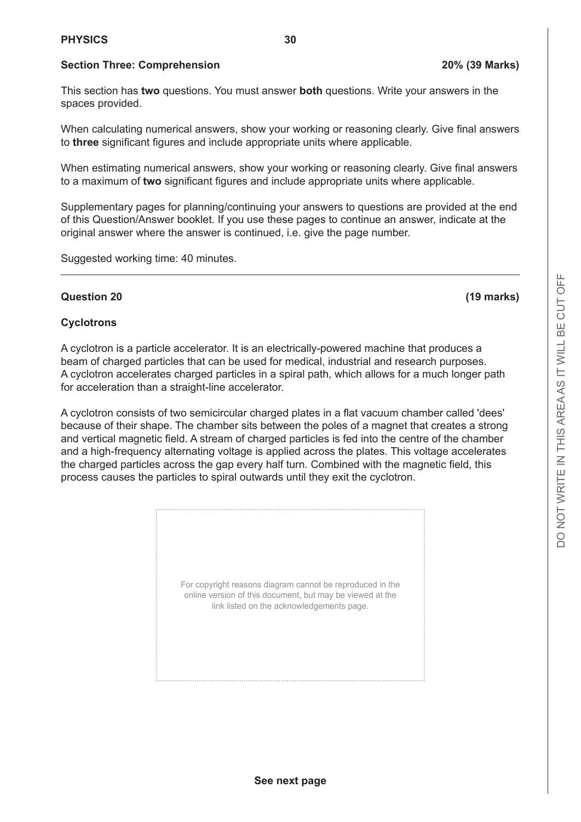#### **Section Three: Comprehension 20% (39 Marks)**

This section has **two** questions. You must answer **both** questions. Write your answers in the spaces provided.

When calculating numerical answers, show your working or reasoning clearly. Give final answers to **three** significant figures and include appropriate units where applicable.

When estimating numerical answers, show your working or reasoning clearly. Give final answers to a maximum of **two** significant figures and include appropriate units where applicable.

Supplementary pages for planning/continuing your answers to questions are provided at the end of this Question/Answer booklet. If you use these pages to continue an answer, indicate at the original answer where the answer is continued, i.e. give the page number.

Suggested working time: 40 minutes.

#### **Question 20 (19 marks)**

#### **Cyclotrons**

A cyclotron is a particle accelerator. It is an electrically-powered machine that produces a beam of charged particles that can be used for medical, industrial and research purposes. A cyclotron accelerates charged particles in a spiral path, which allows for a much longer path for acceleration than a straight-line accelerator.

A cyclotron consists of two semicircular charged plates in a flat vacuum chamber called 'dees' because of their shape. The chamber sits between the poles of a magnet that creates a strong and vertical magnetic field. A stream of charged particles is fed into the centre of the chamber and a high-frequency alternating voltage is applied across the plates. This voltage accelerates the charged particles across the gap every half turn. Combined with the magnetic field, this process causes the particles to spiral outwards until they exit the cyclotron.

> For copyright reasons diagram cannot be reproduced in the online version of this document, but may be viewed at the link listed on the acknowledgements page.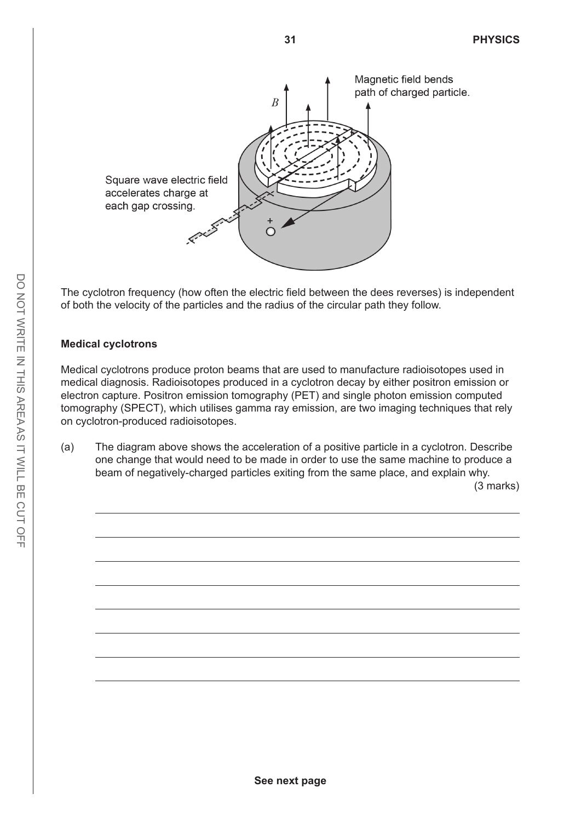

The cyclotron frequency (how often the electric field between the dees reverses) is independent of both the velocity of the particles and the radius of the circular path they follow.

### **Medical cyclotrons**

Medical cyclotrons produce proton beams that are used to manufacture radioisotopes used in medical diagnosis. Radioisotopes produced in a cyclotron decay by either positron emission or electron capture. Positron emission tomography (PET) and single photon emission computed tomography (SPECT), which utilises gamma ray emission, are two imaging techniques that rely on cyclotron-produced radioisotopes.

(a) The diagram above shows the acceleration of a positive particle in a cyclotron. Describe one change that would need to be made in order to use the same machine to produce a beam of negatively-charged particles exiting from the same place, and explain why.

(3 marks)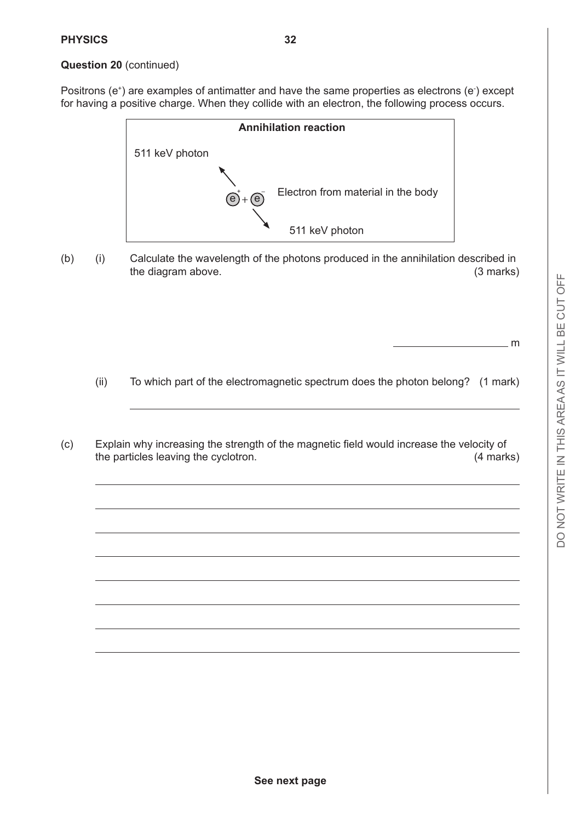## **Question 20** (continued)

Positrons (e\*) are examples of antimatter and have the same properties as electrons (e<sup>-</sup>) except for having a positive charge. When they collide with an electron, the following process occurs.



(b) (i) Calculate the wavelength of the photons produced in the annihilation described in the diagram above. (3 marks)

- (ii) To which part of the electromagnetic spectrum does the photon belong? (1 mark)
- (c) Explain why increasing the strength of the magnetic field would increase the velocity of the particles leaving the cyclotron. (4 marks)

m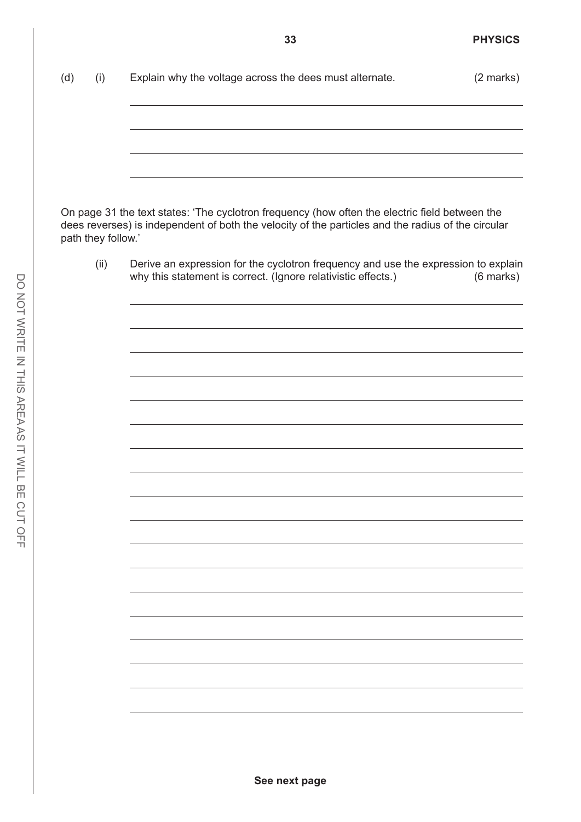| (d) | (i) | Explain why the voltage across the dees must alternate.<br>$(2 \text{ marks})$                 |
|-----|-----|------------------------------------------------------------------------------------------------|
|     |     |                                                                                                |
|     |     |                                                                                                |
|     |     |                                                                                                |
|     |     |                                                                                                |
|     |     |                                                                                                |
|     |     | On page 31 the text states: 'The cyclotron frequency (how often the electric field between the |

dees reverses) is independent of both the velocity of the particles and the radius of the circular path they follow.'

(ii) Derive an expression for the cyclotron frequency and use the expression to explain why this statement is correct. (Ignore relativistic effects.) (6 marks)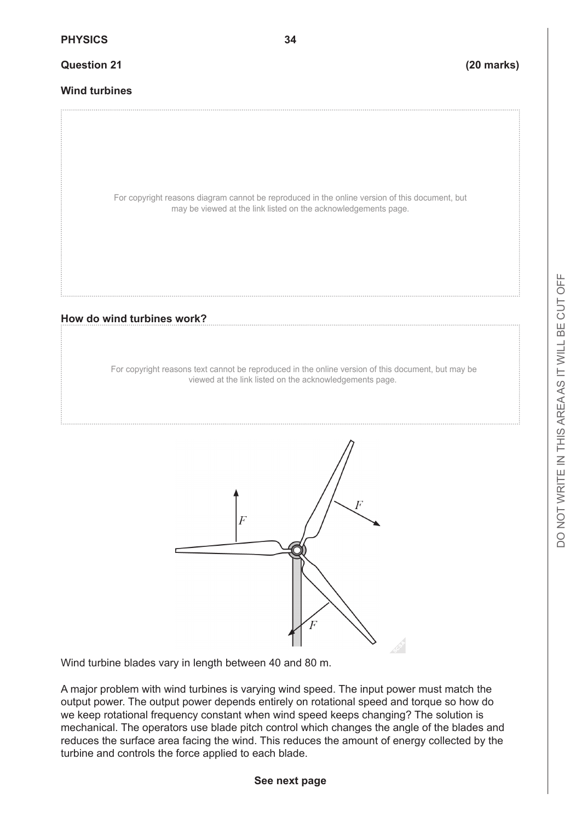#### **Question 21 (20 marks)**

#### **Wind turbines**

For copyright reasons diagram cannot be reproduced in the online version of this document, but may be viewed at the link listed on the acknowledgements page.

#### **How do wind turbines work?**

 For copyright reasons text cannot be reproduced in the online version of this document, but may be viewed at the link listed on the acknowledgements page.



Wind turbine blades vary in length between 40 and 80 m.

A major problem with wind turbines is varying wind speed. The input power must match the output power. The output power depends entirely on rotational speed and torque so how do we keep rotational frequency constant when wind speed keeps changing? The solution is mechanical. The operators use blade pitch control which changes the angle of the blades and reduces the surface area facing the wind. This reduces the amount of energy collected by the turbine and controls the force applied to each blade.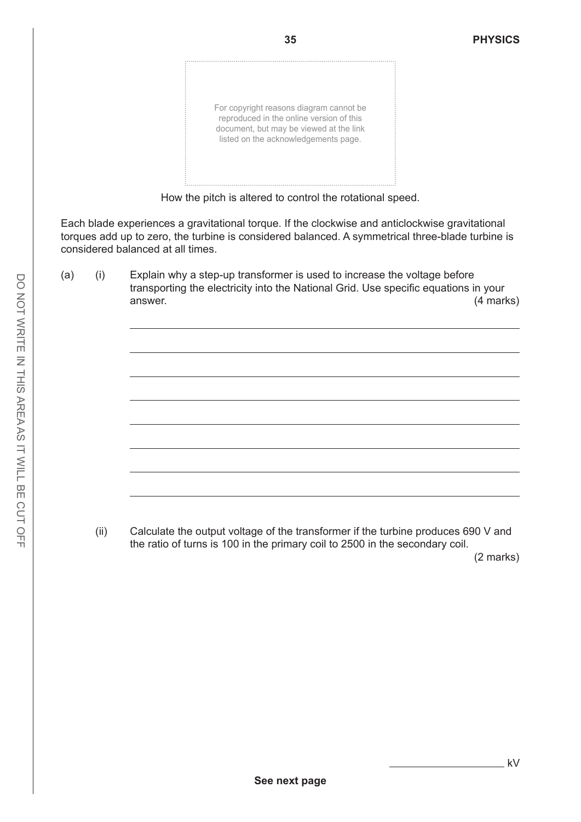

How the pitch is altered to control the rotational speed.

Each blade experiences a gravitational torque. If the clockwise and anticlockwise gravitational torques add up to zero, the turbine is considered balanced. A symmetrical three-blade turbine is considered balanced at all times.

(a) (i) Explain why a step-up transformer is used to increase the voltage before transporting the electricity into the National Grid. Use specific equations in your answer. (4 marks)

(ii) Calculate the output voltage of the transformer if the turbine produces 690 V and the ratio of turns is 100 in the primary coil to 2500 in the secondary coil.

(2 marks)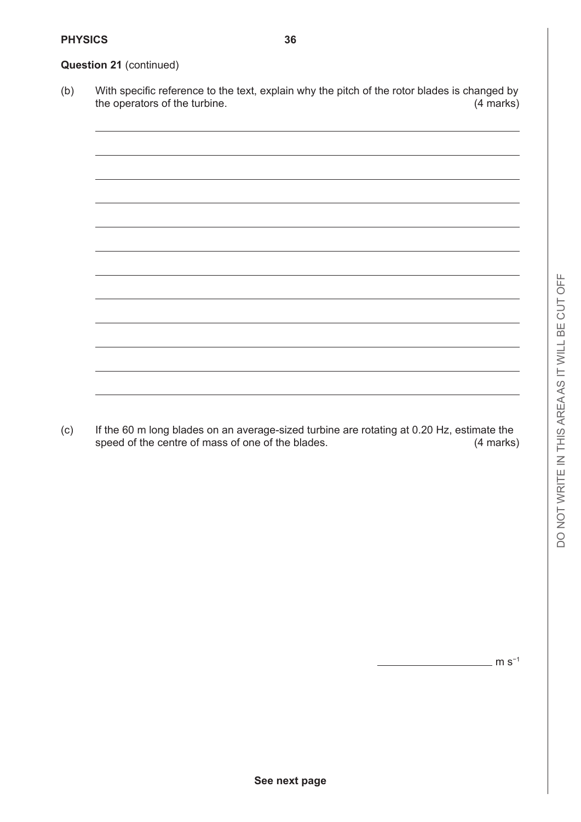#### **Question 21** (continued)

(b) With specific reference to the text, explain why the pitch of the rotor blades is changed by the operators of the turbine. (4 marks)



(c) If the 60 m long blades on an average-sized turbine are rotating at 0.20 Hz, estimate the speed of the centre of mass of one of the blades. (4 marks)

 $\frac{1}{\sqrt{1-\frac{1}{2}}}\text{m s}^{-1}$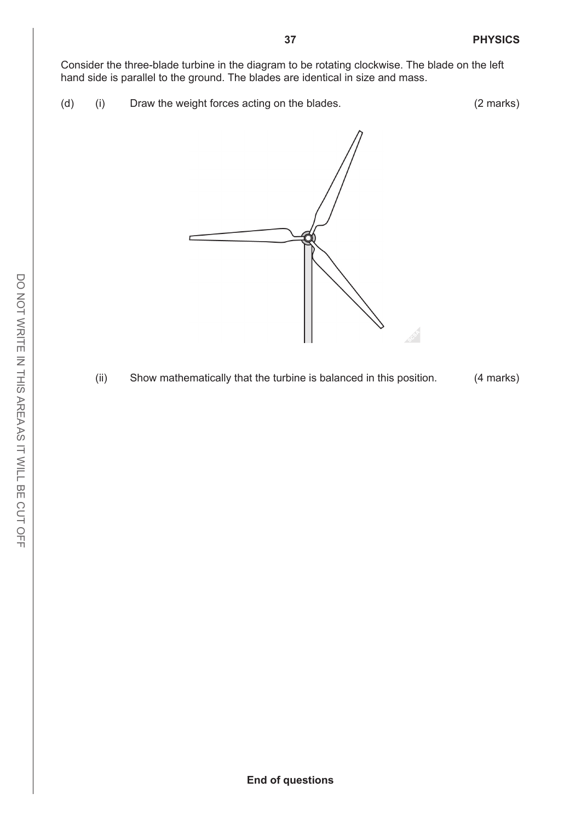Consider the three-blade turbine in the diagram to be rotating clockwise. The blade on the left hand side is parallel to the ground. The blades are identical in size and mass.

(d) (i) Draw the weight forces acting on the blades. (2 marks)



(ii) Show mathematically that the turbine is balanced in this position. (4 marks)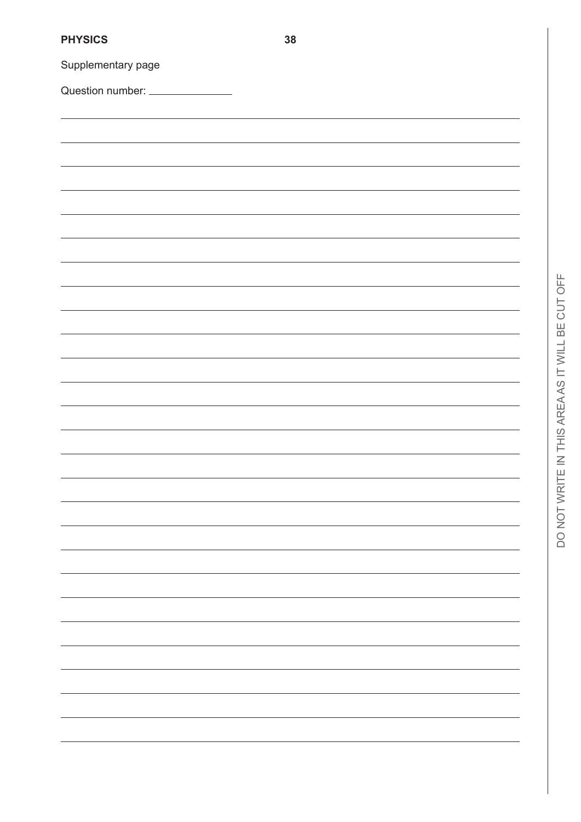| <b>PHYSICS</b>                  | 38 |
|---------------------------------|----|
| Supplementary page              |    |
| Question number: ______________ |    |
|                                 |    |
|                                 |    |
|                                 |    |
|                                 |    |
|                                 |    |
|                                 |    |
|                                 |    |
|                                 |    |
|                                 |    |
|                                 |    |
|                                 |    |
|                                 |    |
|                                 |    |
|                                 |    |
|                                 |    |
|                                 |    |
|                                 |    |
|                                 |    |
|                                 |    |
|                                 |    |
|                                 |    |
|                                 |    |
|                                 |    |
|                                 |    |
|                                 |    |
|                                 |    |
|                                 |    |
|                                 |    |
|                                 |    |
|                                 |    |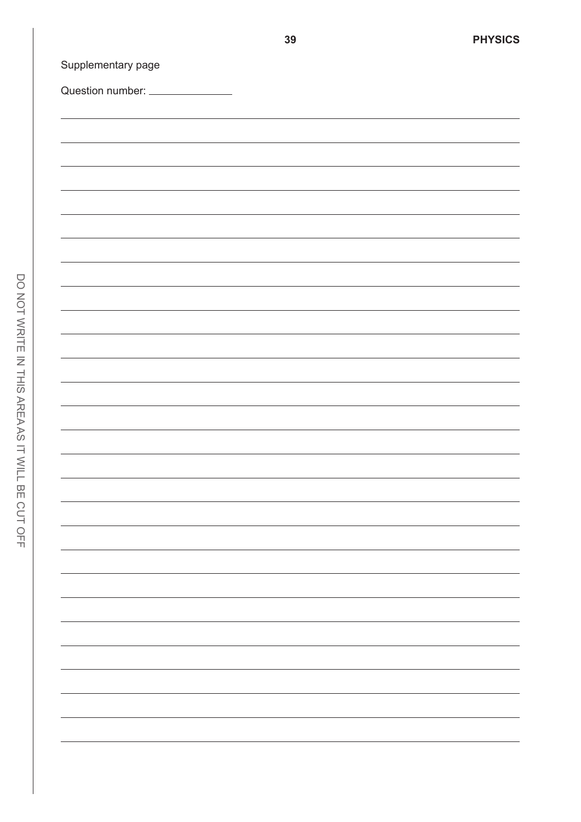| Question number: ______________ |  |  |
|---------------------------------|--|--|
|                                 |  |  |
|                                 |  |  |
|                                 |  |  |
|                                 |  |  |
|                                 |  |  |
|                                 |  |  |
|                                 |  |  |
|                                 |  |  |
|                                 |  |  |
|                                 |  |  |
|                                 |  |  |
|                                 |  |  |
|                                 |  |  |
|                                 |  |  |
|                                 |  |  |
|                                 |  |  |
|                                 |  |  |
|                                 |  |  |
|                                 |  |  |
|                                 |  |  |
|                                 |  |  |
|                                 |  |  |
|                                 |  |  |
|                                 |  |  |
|                                 |  |  |
|                                 |  |  |
|                                 |  |  |
|                                 |  |  |
|                                 |  |  |
|                                 |  |  |
|                                 |  |  |
|                                 |  |  |
|                                 |  |  |
|                                 |  |  |
|                                 |  |  |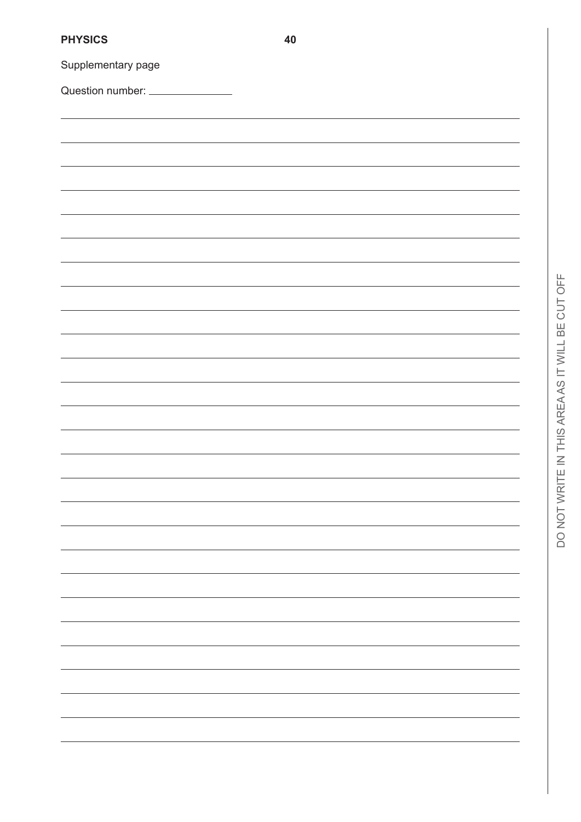| <b>PHYSICS</b>                  | 40 |
|---------------------------------|----|
| Supplementary page              |    |
| Question number: ______________ |    |
|                                 |    |
|                                 |    |
|                                 |    |
|                                 |    |
|                                 |    |
|                                 |    |
|                                 |    |
|                                 |    |
|                                 |    |
|                                 |    |
|                                 |    |
|                                 |    |
|                                 |    |
|                                 |    |
|                                 |    |
|                                 |    |
|                                 |    |
|                                 |    |
|                                 |    |
|                                 |    |
|                                 |    |
|                                 |    |
|                                 |    |
|                                 |    |
|                                 |    |
|                                 |    |
|                                 |    |
|                                 |    |
|                                 |    |
|                                 |    |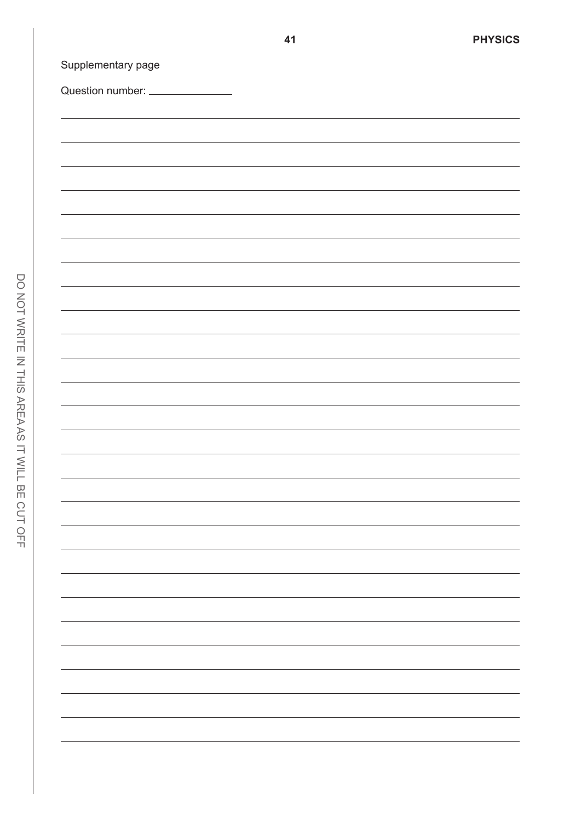| Question number: ______________ |  |  |
|---------------------------------|--|--|
|                                 |  |  |
|                                 |  |  |
|                                 |  |  |
|                                 |  |  |
|                                 |  |  |
|                                 |  |  |
|                                 |  |  |
|                                 |  |  |
|                                 |  |  |
|                                 |  |  |
|                                 |  |  |
|                                 |  |  |
|                                 |  |  |
|                                 |  |  |
|                                 |  |  |
|                                 |  |  |
|                                 |  |  |
|                                 |  |  |
|                                 |  |  |
|                                 |  |  |
|                                 |  |  |
|                                 |  |  |
|                                 |  |  |
|                                 |  |  |
|                                 |  |  |
|                                 |  |  |
|                                 |  |  |
|                                 |  |  |
|                                 |  |  |
|                                 |  |  |
|                                 |  |  |
|                                 |  |  |
|                                 |  |  |
|                                 |  |  |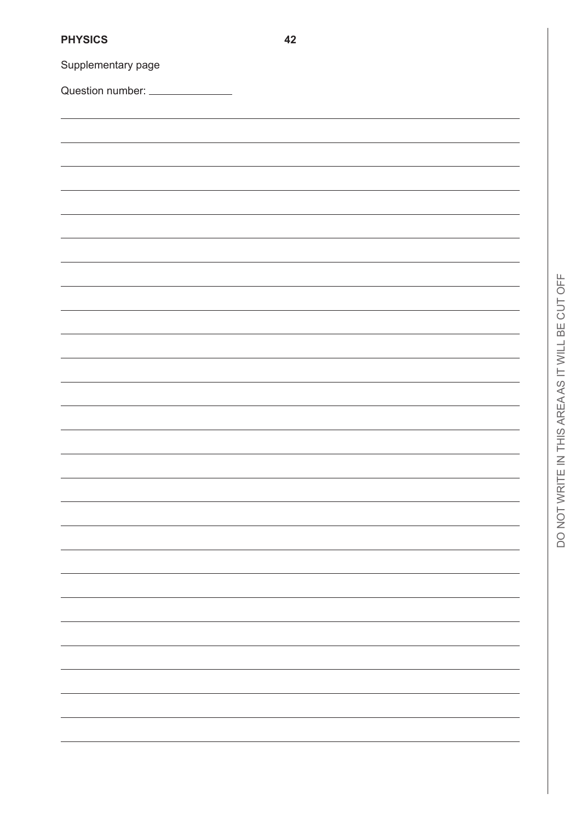| <b>PHYSICS</b>                  | 42 |
|---------------------------------|----|
| Supplementary page              |    |
| Question number: ______________ |    |
|                                 |    |
|                                 |    |
|                                 |    |
|                                 |    |
|                                 |    |
|                                 |    |
|                                 |    |
|                                 |    |
|                                 |    |
|                                 |    |
|                                 |    |
|                                 |    |
|                                 |    |
|                                 |    |
|                                 |    |
|                                 |    |
|                                 |    |
|                                 |    |
|                                 |    |
|                                 |    |
|                                 |    |
|                                 |    |
|                                 |    |
|                                 |    |
|                                 |    |
|                                 |    |
|                                 |    |
|                                 |    |
|                                 |    |
|                                 |    |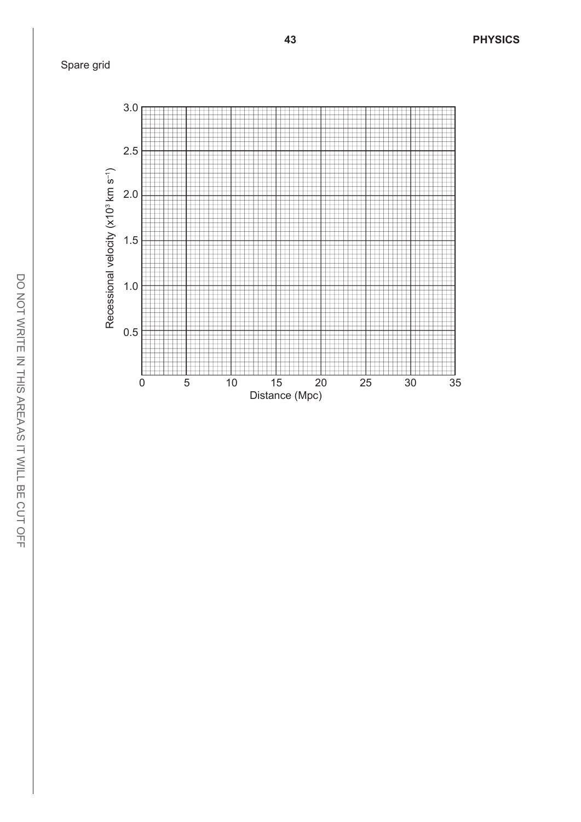Spare grid